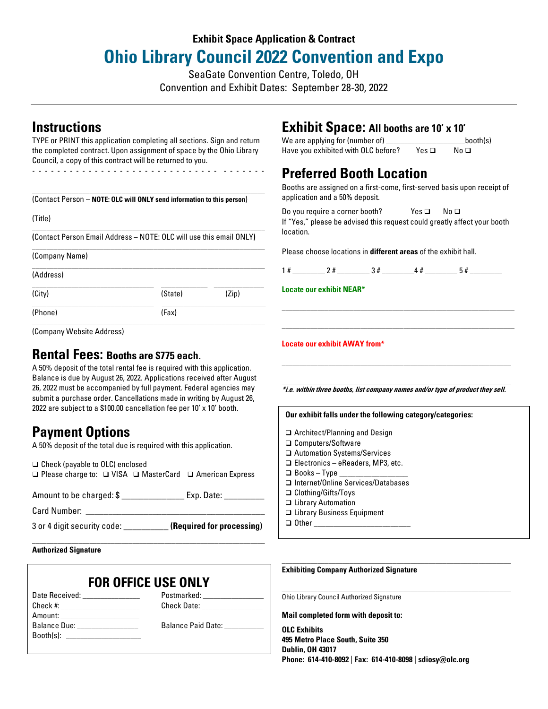# **Exhibit Space Application & Contract Ohio Library Council 2022 Convention and Expo**

SeaGate Convention Centre, Toledo, OH

Convention and Exhibit Dates: September 28-30, 2022

## **Instructions**

TYPE or PRINT this application completing all sections. Sign and return the completed contract. Upon assignment of space by the Ohio Library Council, a copy of this contract will be returned to you.

- - - - - - - - - - - - - - - - - - - - - - - - - - - - - - - - - - - - -

| (Contact Person – NOTE: OLC will ONLY send information to this person) |                                                                     |       |  |  |
|------------------------------------------------------------------------|---------------------------------------------------------------------|-------|--|--|
| (Title)                                                                |                                                                     |       |  |  |
|                                                                        | (Contact Person Email Address – NOTE: OLC will use this email ONLY) |       |  |  |
| (Company Name)                                                         |                                                                     |       |  |  |
| (Address)                                                              |                                                                     |       |  |  |
| (City)                                                                 | (State)                                                             | (Zip) |  |  |
| (Phone)                                                                | (Fax)                                                               |       |  |  |
| (Company Website Address)                                              |                                                                     |       |  |  |

## **Rental Fees: Booths are \$775 each.**

A 50% deposit of the total rental fee is required with this application. Balance is due by August 26, 2022. Applications received after August 26, 2022 must be accompanied by full payment. Federal agencies may submit a purchase order. Cancellations made in writing by August 26, 2022 are subject to a \$100.00 cancellation fee per 10' x 10' booth.

## **Payment Options**

A 50% deposit of the total due is required with this application.

❑ Check (payable to OLC) enclosed ❑ Please charge to: ❑ VISA ❑ MasterCard ❑ American Express

| Amount to be charged: \$ | Exp. Date: |
|--------------------------|------------|

Card Number: **With an allegeration** 

3 or 4 digit security code: \_\_\_\_\_\_\_\_\_\_ **(Required for processing)**

**Authorized Signature**

## **FOR OFFICE USE ONLY**

\_\_\_\_\_\_\_\_\_\_\_\_\_\_\_\_\_\_\_\_\_\_\_\_\_\_\_\_\_\_\_\_\_\_\_\_\_\_\_\_\_\_\_\_\_\_\_\_\_\_\_\_\_\_\_\_\_\_\_\_\_\_\_\_\_

| Date Received: _______________                                                                                                                                                                                                | Postmarked: __________________ |
|-------------------------------------------------------------------------------------------------------------------------------------------------------------------------------------------------------------------------------|--------------------------------|
| Check #: ______________________                                                                                                                                                                                               | Check Date: ________________   |
| Amount: _______________________                                                                                                                                                                                               |                                |
| Balance Due: <b>Balance</b> Due:                                                                                                                                                                                              | Balance Paid Date:             |
| Booth(s): the contract of the contract of the contract of the contract of the contract of the contract of the contract of the contract of the contract of the contract of the contract of the contract of the contract of the |                                |
|                                                                                                                                                                                                                               |                                |

## **Exhibit Space: All booths are 10' x 10'**

We are applying for (number of) \_\_\_\_\_\_\_\_\_\_\_\_\_\_\_\_\_\_\_\_\_\_\_booth(s) Have you exhibited with OLC before? Yes □ No □

# **Preferred Booth Location**

Booths are assigned on a first-come, first-served basis upon receipt of application and a 50% deposit.

Do you require a corner booth? Yes ❑ No ❑ If "Yes," please be advised this request could greatly affect your booth location.

Please choose locations in **different areas** of the exhibit hall.

|--|--|

\_\_\_\_\_\_\_\_\_\_\_\_\_\_\_\_\_\_\_\_\_\_\_\_\_\_\_\_\_\_\_\_\_\_\_\_\_\_\_\_\_\_\_\_\_\_\_\_\_\_\_\_\_\_\_\_\_\_\_\_\_\_\_\_\_ \_\_\_\_\_\_\_\_\_\_\_\_\_\_\_\_\_\_\_\_\_\_\_\_\_\_\_\_\_\_\_\_\_\_\_\_\_\_\_\_\_\_\_\_\_\_\_\_\_\_\_\_\_\_\_\_\_\_\_\_\_\_\_\_\_

**Locate our exhibit NEAR\***

**Locate our exhibit AWAY from\***

\_\_\_\_\_\_\_\_\_\_\_\_\_\_\_\_\_\_\_\_\_\_\_\_\_\_\_\_\_\_\_\_\_\_\_\_\_\_\_\_\_\_\_\_\_\_\_\_\_\_\_\_\_\_\_\_\_\_\_\_\_\_\_\_ **\*i.e. within three booths, list company names and/or type of product they sell.**

\_\_\_\_\_\_\_\_\_\_\_\_\_\_\_\_\_\_\_\_\_\_\_\_\_\_\_\_\_\_\_\_\_\_\_\_\_\_\_\_\_\_\_\_\_\_\_\_\_\_\_\_\_\_\_\_\_\_\_\_\_\_\_\_

| Our exhibit falls under the following category/categories: |
|------------------------------------------------------------|
| $\Box$ Architect/Planning and Design                       |
| □ Computers/Software                                       |
| □ Automation Systems/Services                              |
| $\Box$ Electronics - eReaders, MP3, etc.                   |
| $\Box$ Books - Type                                        |
| □ Internet/Online Services/Databases                       |
| $\Box$ Clothing/Gifts/Toys                                 |
| □ Library Automation                                       |
| □ Library Business Equipment                               |
| Other                                                      |
|                                                            |

**Exhibiting Company Authorized Signature**

Ohio Library Council Authorized Signature

**Mail completed form with deposit to:**

**OLC Exhibits 495 Metro Place South, Suite 350 Dublin, OH 43017 Phone: 614-410-8092** | **Fax: 614-410-8098** | **sdiosy@olc.org**

\_\_\_\_\_\_\_\_\_\_\_\_\_\_\_\_\_\_\_\_\_\_\_\_\_\_\_\_\_\_\_\_\_\_\_\_\_\_\_\_\_\_\_\_\_\_\_\_\_\_\_\_\_\_\_\_\_\_\_\_\_\_\_\_

These categories are for space assignment purposes only.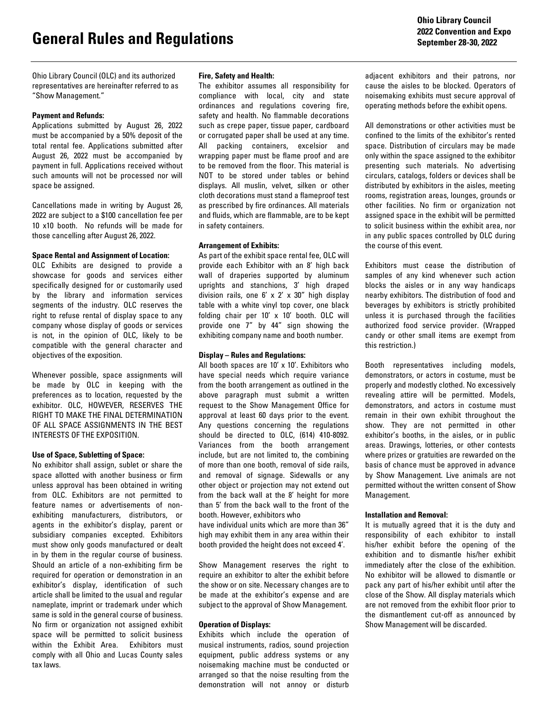Ohio Library Council (OLC) and its authorized representatives are hereinafter referred to as "Show Management."

### **Payment and Refunds:**

Applications submitted by August 26, 2022 must be accompanied by a 50% deposit of the total rental fee. Applications submitted after August 26, 2022 must be accompanied by payment in full. Applications received without such amounts will not be processed nor will space be assigned.

Cancellations made in writing by August 26, 2022 are subject to a \$100 cancellation fee per 10 x10 booth. No refunds will be made for those cancelling after August 26, 2022.

### **Space Rental and Assignment of Location:**

OLC Exhibits are designed to provide a showcase for goods and services either specifically designed for or customarily used by the library and information services segments of the industry. OLC reserves the right to refuse rental of display space to any company whose display of goods or services is not, in the opinion of OLC, likely to be compatible with the general character and objectives of the exposition.

Whenever possible, space assignments will be made by OLC in keeping with the preferences as to location, requested by the exhibitor. OLC, HOWEVER, RESERVES THE RIGHT TO MAKE THE FINAL DETERMINATION OF ALL SPACE ASSIGNMENTS IN THE BEST INTERESTS OF THE EXPOSITION.

#### **Use of Space, Subletting of Space:**

No exhibitor shall assign, sublet or share the space allotted with another business or firm unless approval has been obtained in writing from OLC. Exhibitors are not permitted to feature names or advertisements of nonexhibiting manufacturers, distributors, or agents in the exhibitor's display, parent or subsidiary companies excepted. Exhibitors must show only goods manufactured or dealt in by them in the regular course of business. Should an article of a non-exhibiting firm be required for operation or demonstration in an exhibitor's display, identification of such article shall be limited to the usual and regular nameplate, imprint or trademark under which same is sold in the general course of business. No firm or organization not assigned exhibit space will be permitted to solicit business within the Exhibit Area. Exhibitors must comply with all Ohio and Lucas County sales tax laws.

#### **Fire, Safety and Health:**

The exhibitor assumes all responsibility for compliance with local, city and state ordinances and regulations covering fire, safety and health. No flammable decorations such as crepe paper, tissue paper, cardboard or corrugated paper shall be used at any time. All packing containers, excelsior and wrapping paper must be flame proof and are to be removed from the floor. This material is NOT to be stored under tables or behind displays. All muslin, velvet, silken or other cloth decorations must stand a flameproof test as prescribed by fire ordinances. All materials and fluids, which are flammable, are to be kept in safety containers.

### **Arrangement of Exhibits:**

As part of the exhibit space rental fee, OLC will provide each Exhibitor with an 8' high back wall of draperies supported by aluminum uprights and stanchions, 3' high draped division rails, one 6' x 2' x 30" high display table with a white vinyl top cover, one black folding chair per 10' x 10' booth. OLC will provide one 7" by 44" sign showing the exhibiting company name and booth number.

## **Display – Rules and Regulations:**

All booth spaces are  $10'$  x  $10'$ . Exhibitors who have special needs which require variance from the booth arrangement as outlined in the above paragraph must submit a written request to the Show Management Office for approval at least 60 days prior to the event. Any questions concerning the regulations should be directed to OLC, (614) 410-8092. Variances from the booth arrangement include, but are not limited to, the combining of more than one booth, removal of side rails, and removal of signage. Sidewalls or any other object or projection may not extend out from the back wall at the 8' height for more than 5' from the back wall to the front of the booth. However, exhibitors who

have individual units which are more than 36" high may exhibit them in any area within their booth provided the height does not exceed 4'.

Show Management reserves the right to require an exhibitor to alter the exhibit before the show or on site. Necessary changes are to be made at the exhibitor's expense and are subject to the approval of Show Management.

## **Operation of Displays:**

Exhibits which include the operation of musical instruments, radios, sound projection equipment, public address systems or any noisemaking machine must be conducted or arranged so that the noise resulting from the demonstration will not annoy or disturb

adjacent exhibitors and their patrons, nor cause the aisles to be blocked. Operators of noisemaking exhibits must secure approval of operating methods before the exhibit opens.

All demonstrations or other activities must be confined to the limits of the exhibitor's rented space. Distribution of circulars may be made only within the space assigned to the exhibitor presenting such materials. No advertising circulars, catalogs, folders or devices shall be distributed by exhibitors in the aisles, meeting rooms, registration areas, lounges, grounds or other facilities. No firm or organization not assigned space in the exhibit will be permitted to solicit business within the exhibit area, nor in any public spaces controlled by OLC during the course of this event.

Exhibitors must cease the distribution of samples of any kind whenever such action blocks the aisles or in any way handicaps nearby exhibitors. The distribution of food and beverages by exhibitors is strictly prohibited unless it is purchased through the facilities authorized food service provider. (Wrapped candy or other small items are exempt from this restriction.)

Booth representatives including models, demonstrators, or actors in costume, must be properly and modestly clothed. No excessively revealing attire will be permitted. Models, demonstrators, and actors in costume must remain in their own exhibit throughout the show. They are not permitted in other exhibitor's booths, in the aisles, or in public areas. Drawings, lotteries, or other contests where prizes or gratuities are rewarded on the basis of chance must be approved in advance by Show Management. Live animals are not permitted without the written consent of Show Management.

#### **Installation and Removal:**

It is mutually agreed that it is the duty and responsibility of each exhibitor to install his/her exhibit before the opening of the exhibition and to dismantle his/her exhibit immediately after the close of the exhibition. No exhibitor will be allowed to dismantle or pack any part of his/her exhibit until after the close of the Show. All display materials which are not removed from the exhibit floor prior to the dismantlement cut-off as announced by Show Management will be discarded.